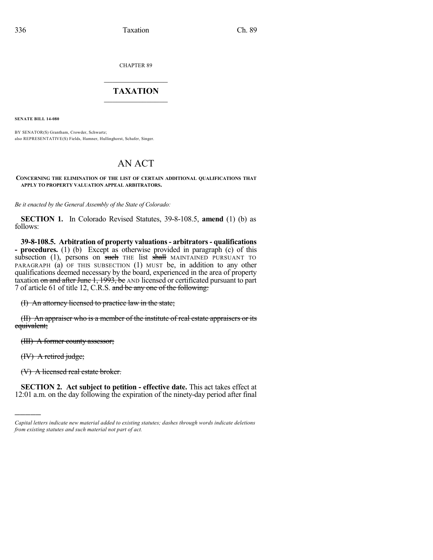CHAPTER 89

## $\overline{\phantom{a}}$  . The set of the set of the set of the set of the set of the set of the set of the set of the set of the set of the set of the set of the set of the set of the set of the set of the set of the set of the set o **TAXATION**  $\_$

**SENATE BILL 14-080**

BY SENATOR(S) Grantham, Crowder, Schwartz; also REPRESENTATIVE(S) Fields, Hamner, Hullinghorst, Schafer, Singer.

## AN ACT

## **CONCERNING THE ELIMINATION OF THE LIST OF CERTAIN ADDITIONAL QUALIFICATIONS THAT APPLY TO PROPERTY VALUATION APPEAL ARBITRATORS.**

*Be it enacted by the General Assembly of the State of Colorado:*

**SECTION 1.** In Colorado Revised Statutes, 39-8-108.5, **amend** (1) (b) as follows:

**39-8-108.5. Arbitration of property valuations- arbitrators- qualifications - procedures.** (1) (b) Except as otherwise provided in paragraph (c) of this subsection (1), persons on such THE list shall MAINTAINED PURSUANT TO PARAGRAPH (a) OF THIS SUBSECTION (1) MUST be, in addition to any other qualifications deemed necessary by the board, experienced in the area of property taxation on and after June 1, 1993, be AND licensed or certificated pursuant to part 7 of article 61 of title 12, C.R.S. and be any one of the following:

(I) An attorney licensed to practice law in the state;

(II) An appraiser who is a member of the institute of real estate appraisers or its equivalent;

(III) A former county assessor;

(IV) A retired judge;

)))))

(V) A licensed real estate broker.

**SECTION 2. Act subject to petition - effective date.** This act takes effect at 12:01 a.m. on the day following the expiration of the ninety-day period after final

*Capital letters indicate new material added to existing statutes; dashes through words indicate deletions from existing statutes and such material not part of act.*